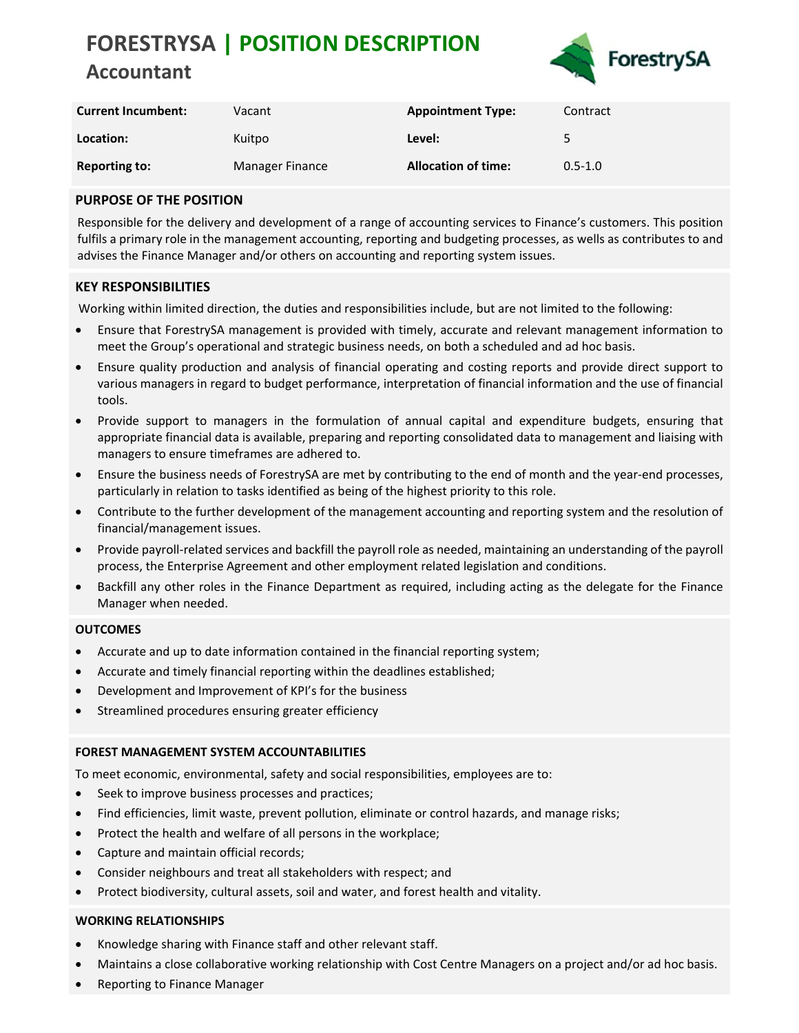# **FORESTRYSA | POSITION DESCRIPTION Accountant**



| <b>Current Incumbent:</b> | Vacant          | <b>Appointment Type:</b>   | Contract    |
|---------------------------|-----------------|----------------------------|-------------|
| Location:                 | Kuitpo          | Level:                     | 5           |
| <b>Reporting to:</b>      | Manager Finance | <b>Allocation of time:</b> | $0.5 - 1.0$ |

# **PURPOSE OF THE POSITION**

Responsible for the delivery and development of a range of accounting services to Finance's customers. This position fulfils a primary role in the management accounting, reporting and budgeting processes, as wells as contributes to and advises the Finance Manager and/or others on accounting and reporting system issues.

# **KEY RESPONSIBILITIES**

Working within limited direction, the duties and responsibilities include, but are not limited to the following:

- Ensure that ForestrySA management is provided with timely, accurate and relevant management information to meet the Group's operational and strategic business needs, on both a scheduled and ad hoc basis.
- Ensure quality production and analysis of financial operating and costing reports and provide direct support to various managers in regard to budget performance, interpretation of financial information and the use of financial tools.
- Provide support to managers in the formulation of annual capital and expenditure budgets, ensuring that appropriate financial data is available, preparing and reporting consolidated data to management and liaising with managers to ensure timeframes are adhered to.
- Ensure the business needs of ForestrySA are met by contributing to the end of month and the year-end processes, particularly in relation to tasks identified as being of the highest priority to this role.
- Contribute to the further development of the management accounting and reporting system and the resolution of financial/management issues.
- Provide payroll-related services and backfill the payroll role as needed, maintaining an understanding of the payroll process, the Enterprise Agreement and other employment related legislation and conditions.
- Backfill any other roles in the Finance Department as required, including acting as the delegate for the Finance Manager when needed.

### **OUTCOMES**

- Accurate and up to date information contained in the financial reporting system;
- Accurate and timely financial reporting within the deadlines established;
- Development and Improvement of KPI's for the business
- Streamlined procedures ensuring greater efficiency

### **FOREST MANAGEMENT SYSTEM ACCOUNTABILITIES**

To meet economic, environmental, safety and social responsibilities, employees are to:

- Seek to improve business processes and practices;
- Find efficiencies, limit waste, prevent pollution, eliminate or control hazards, and manage risks;
- Protect the health and welfare of all persons in the workplace;
- Capture and maintain official records;
- Consider neighbours and treat all stakeholders with respect; and
- Protect biodiversity, cultural assets, soil and water, and forest health and vitality.

### **WORKING RELATIONSHIPS**

- Knowledge sharing with Finance staff and other relevant staff.
- Maintains a close collaborative working relationship with Cost Centre Managers on a project and/or ad hoc basis.
- Reporting to Finance Manager